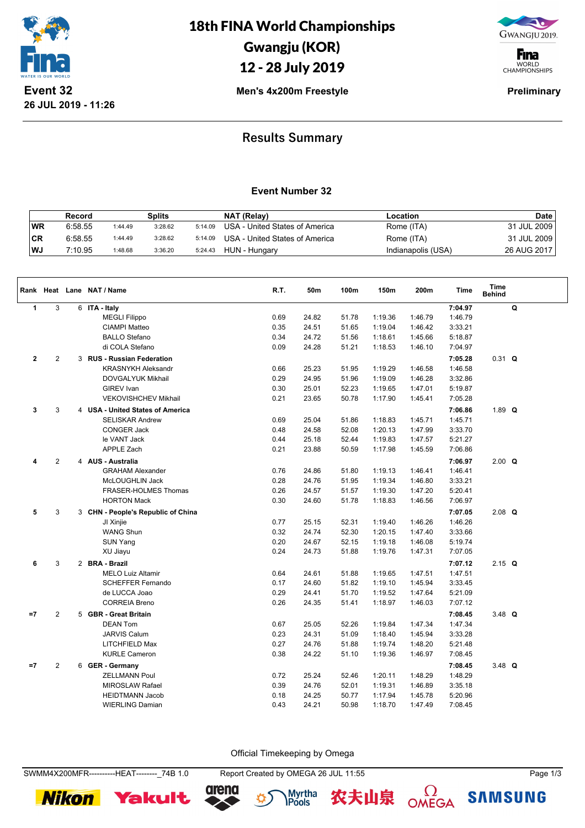

18th FINA World Championships Gwangju (KOR)

# 12 - 28 July 2019



**F**ina WORLD<br>CHAMPIONSHIPS

**Men's 4x200m Freestyle Preliminary** 

## **Results Summary**

#### **Event Number 32**

|     | Record  |         | Splits  |         | NAT (Relay)                    | Location           | <b>Date</b> |
|-----|---------|---------|---------|---------|--------------------------------|--------------------|-------------|
| WR  | 6:58.55 | 1:44.49 | 3:28.62 | 5:14.09 | USA - United States of America | Rome (ITA)         | 31 JUL 2009 |
| ∣CR | 6:58.55 | 1:44.49 | 3:28.62 | 5:14.09 | USA - United States of America | Rome (ITA)         | 31 JUL 2009 |
| ∣WJ | 7:10.95 | 1:48.68 | 3:36.20 | 5:24.43 | HUN - Hungary                  | Indianapolis (USA) | 26 AUG 2017 |

|              |                | Rank Heat Lane NAT / Name          | R.T. | 50m   | 100m  | 150m    | 200m    | Time    | <b>Time</b><br><b>Behind</b> |   |
|--------------|----------------|------------------------------------|------|-------|-------|---------|---------|---------|------------------------------|---|
| $\mathbf{1}$ | 3              | 6 ITA - Italy                      |      |       |       |         |         | 7:04.97 |                              | Q |
|              |                | <b>MEGLI Filippo</b>               | 0.69 | 24.82 | 51.78 | 1:19.36 | 1:46.79 | 1:46.79 |                              |   |
|              |                | <b>CIAMPI Matteo</b>               | 0.35 | 24.51 | 51.65 | 1:19.04 | 1:46.42 | 3:33.21 |                              |   |
|              |                | <b>BALLO Stefano</b>               | 0.34 | 24.72 | 51.56 | 1:18.61 | 1:45.66 | 5:18.87 |                              |   |
|              |                | di COLA Stefano                    | 0.09 | 24.28 | 51.21 | 1:18.53 | 1:46.10 | 7:04.97 |                              |   |
| $\mathbf 2$  | $\overline{c}$ | 3 RUS - Russian Federation         |      |       |       |         |         | 7:05.28 | $0.31$ Q                     |   |
|              |                | <b>KRASNYKH Aleksandr</b>          | 0.66 | 25.23 | 51.95 | 1:19.29 | 1:46.58 | 1:46.58 |                              |   |
|              |                | <b>DOVGALYUK Mikhail</b>           | 0.29 | 24.95 | 51.96 | 1:19.09 | 1:46.28 | 3:32.86 |                              |   |
|              |                | <b>GIREV Ivan</b>                  | 0.30 | 25.01 | 52.23 | 1:19.65 | 1:47.01 | 5:19.87 |                              |   |
|              |                | <b>VEKOVISHCHEV Mikhail</b>        | 0.21 | 23.65 | 50.78 | 1:17.90 | 1:45.41 | 7:05.28 |                              |   |
| 3            | 3              | 4 USA - United States of America   |      |       |       |         |         | 7:06.86 | 1.89 $Q$                     |   |
|              |                | <b>SELISKAR Andrew</b>             | 0.69 | 25.04 | 51.86 | 1:18.83 | 1:45.71 | 1:45.71 |                              |   |
|              |                | <b>CONGER Jack</b>                 | 0.48 | 24.58 | 52.08 | 1:20.13 | 1:47.99 | 3:33.70 |                              |   |
|              |                | le VANT Jack                       | 0.44 | 25.18 | 52.44 | 1:19.83 | 1:47.57 | 5:21.27 |                              |   |
|              |                | <b>APPLE Zach</b>                  | 0.21 | 23.88 | 50.59 | 1:17.98 | 1:45.59 | 7:06.86 |                              |   |
| 4            | $\mathbf{2}$   | 4 AUS - Australia                  |      |       |       |         |         | 7:06.97 | $2.00$ Q                     |   |
|              |                | <b>GRAHAM Alexander</b>            | 0.76 | 24.86 | 51.80 | 1:19.13 | 1:46.41 | 1:46.41 |                              |   |
|              |                | McLOUGHLIN Jack                    | 0.28 | 24.76 | 51.95 | 1:19.34 | 1:46.80 | 3:33.21 |                              |   |
|              |                | FRASER-HOLMES Thomas               | 0.26 | 24.57 | 51.57 | 1:19.30 | 1:47.20 | 5:20.41 |                              |   |
|              |                | <b>HORTON Mack</b>                 | 0.30 | 24.60 | 51.78 | 1:18.83 | 1:46.56 | 7:06.97 |                              |   |
| 5            | 3              | 3 CHN - People's Republic of China |      |       |       |         |         | 7:07.05 | $2.08$ Q                     |   |
|              |                | JI Xinjie                          | 0.77 | 25.15 | 52.31 | 1:19.40 | 1:46.26 | 1:46.26 |                              |   |
|              |                | <b>WANG Shun</b>                   | 0.32 | 24.74 | 52.30 | 1:20.15 | 1:47.40 | 3:33.66 |                              |   |
|              |                | SUN Yang                           | 0.20 | 24.67 | 52.15 | 1:19.18 | 1:46.08 | 5:19.74 |                              |   |
|              |                | XU Jiayu                           | 0.24 | 24.73 | 51.88 | 1:19.76 | 1:47.31 | 7:07.05 |                              |   |
| 6            | 3              | 2 BRA - Brazil                     |      |       |       |         |         | 7:07.12 | $2.15$ Q                     |   |
|              |                | <b>MELO Luiz Altamir</b>           | 0.64 | 24.61 | 51.88 | 1:19.65 | 1:47.51 | 1:47.51 |                              |   |
|              |                | <b>SCHEFFER Fernando</b>           | 0.17 | 24.60 | 51.82 | 1:19.10 | 1:45.94 | 3:33.45 |                              |   |
|              |                | de LUCCA Joao                      | 0.29 | 24.41 | 51.70 | 1:19.52 | 1:47.64 | 5:21.09 |                              |   |
|              |                | <b>CORREIA Breno</b>               | 0.26 | 24.35 | 51.41 | 1:18.97 | 1:46.03 | 7:07.12 |                              |   |
| $=7$         | $\mathbf{2}$   | 5 GBR - Great Britain              |      |       |       |         |         | 7:08.45 | 3.48 $Q$                     |   |
|              |                | <b>DEAN Tom</b>                    | 0.67 | 25.05 | 52.26 | 1:19.84 | 1:47.34 | 1:47.34 |                              |   |
|              |                | <b>JARVIS Calum</b>                | 0.23 | 24.31 | 51.09 | 1:18.40 | 1:45.94 | 3:33.28 |                              |   |
|              |                | LITCHFIELD Max                     | 0.27 | 24.76 | 51.88 | 1:19.74 | 1:48.20 | 5:21.48 |                              |   |
|              |                | <b>KURLE Cameron</b>               | 0.38 | 24.22 | 51.10 | 1:19.36 | 1:46.97 | 7:08.45 |                              |   |
| $=7$         | $\mathbf{2}$   | 6 GER - Germany                    |      |       |       |         |         | 7:08.45 | 3.48 $Q$                     |   |
|              |                | <b>ZELLMANN Poul</b>               | 0.72 | 25.24 | 52.46 | 1:20.11 | 1:48.29 | 1:48.29 |                              |   |
|              |                | <b>MIROSLAW Rafael</b>             | 0.39 | 24.76 | 52.01 | 1:19.31 | 1:46.89 | 3:35.18 |                              |   |
|              |                | <b>HEIDTMANN Jacob</b>             | 0.18 | 24.25 | 50.77 | 1:17.94 | 1:45.78 | 5:20.96 |                              |   |
|              |                | <b>WIERLING Damian</b>             | 0.43 | 24.21 | 50.98 | 1:18.70 | 1:47.49 | 7:08.45 |                              |   |
|              |                |                                    |      |       |       |         |         |         |                              |   |

Official Timekeeping by Omega

SWMM4X200MFR----------HEAT--------\_74B 1.0 Report Created by OMEGA 26 JUL 11:55 Page 1/3











 $\Omega$ OMEGA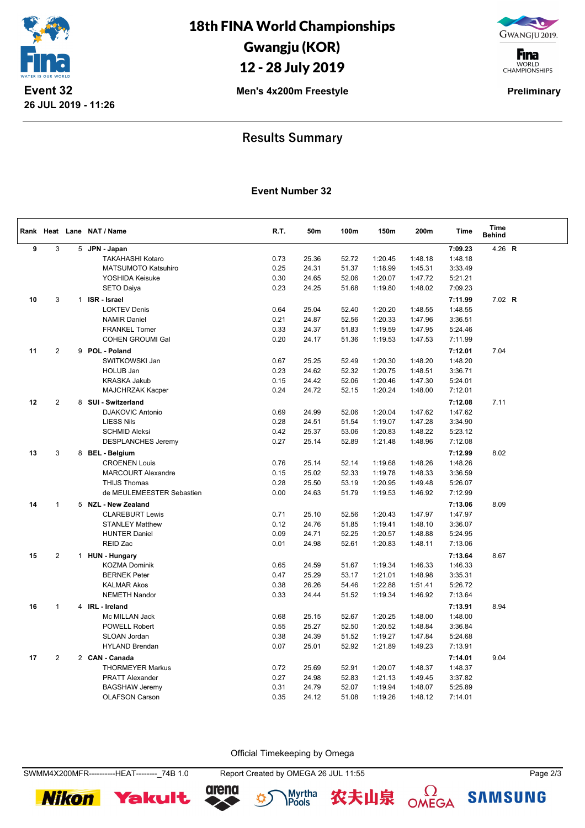

18th FINA World Championships Gwangju (KOR) 12 - 28 July 2019

GWANGJU 2019.

**F**ina WORLD<br>CHAMPIONSHIPS

**Men's 4x200m Freestyle Preliminary** 

## **Results Summary**

#### **Event Number 32**

|    |                |              | Rank Heat Lane NAT / Name  | R.T. | 50m   | 100m  | 150m    | 200m    | <b>Time</b> | <b>Time</b><br><b>Behind</b> |  |
|----|----------------|--------------|----------------------------|------|-------|-------|---------|---------|-------------|------------------------------|--|
| 9  | $\mathbf{3}$   |              | 5 JPN - Japan              |      |       |       |         |         | 7:09.23     | 4.26 R                       |  |
|    |                |              | <b>TAKAHASHI Kotaro</b>    | 0.73 | 25.36 | 52.72 | 1:20.45 | 1:48.18 | 1:48.18     |                              |  |
|    |                |              | <b>MATSUMOTO Katsuhiro</b> | 0.25 | 24.31 | 51.37 | 1:18.99 | 1:45.31 | 3:33.49     |                              |  |
|    |                |              | YOSHIDA Keisuke            | 0.30 | 24.65 | 52.06 | 1:20.07 | 1:47.72 | 5:21.21     |                              |  |
|    |                |              | <b>SETO Daiya</b>          | 0.23 | 24.25 | 51.68 | 1:19.80 | 1:48.02 | 7:09.23     |                              |  |
| 10 | 3              | $\mathbf{1}$ | ISR - Israel               |      |       |       |         |         | 7:11.99     | $7.02$ R                     |  |
|    |                |              | <b>LOKTEV Denis</b>        | 0.64 | 25.04 | 52.40 | 1:20.20 | 1:48.55 | 1:48.55     |                              |  |
|    |                |              | <b>NAMIR Daniel</b>        | 0.21 | 24.87 | 52.56 | 1:20.33 | 1:47.96 | 3:36.51     |                              |  |
|    |                |              | <b>FRANKEL Tomer</b>       | 0.33 | 24.37 | 51.83 | 1:19.59 | 1:47.95 | 5:24.46     |                              |  |
|    |                |              | <b>COHEN GROUMI Gal</b>    | 0.20 | 24.17 | 51.36 | 1:19.53 | 1:47.53 | 7:11.99     |                              |  |
| 11 | 2              |              | 9 POL - Poland             |      |       |       |         |         | 7:12.01     | 7.04                         |  |
|    |                |              | SWITKOWSKI Jan             | 0.67 | 25.25 | 52.49 | 1:20.30 | 1:48.20 | 1:48.20     |                              |  |
|    |                |              | HOLUB Jan                  | 0.23 | 24.62 | 52.32 | 1:20.75 | 1:48.51 | 3:36.71     |                              |  |
|    |                |              | <b>KRASKA Jakub</b>        | 0.15 | 24.42 | 52.06 | 1:20.46 | 1:47.30 | 5:24.01     |                              |  |
|    |                |              | <b>MAJCHRZAK Kacper</b>    | 0.24 | 24.72 | 52.15 | 1:20.24 | 1:48.00 | 7:12.01     |                              |  |
| 12 | $\overline{2}$ |              | 8 SUI - Switzerland        |      |       |       |         |         | 7:12.08     | 7.11                         |  |
|    |                |              | <b>DJAKOVIC Antonio</b>    | 0.69 | 24.99 | 52.06 | 1:20.04 | 1:47.62 | 1:47.62     |                              |  |
|    |                |              | <b>LIESS Nils</b>          | 0.28 | 24.51 | 51.54 | 1:19.07 | 1:47.28 | 3:34.90     |                              |  |
|    |                |              | <b>SCHMID Aleksi</b>       | 0.42 | 25.37 | 53.06 | 1:20.83 | 1:48.22 | 5:23.12     |                              |  |
|    |                |              | <b>DESPLANCHES Jeremy</b>  | 0.27 | 25.14 | 52.89 | 1:21.48 | 1:48.96 | 7:12.08     |                              |  |
| 13 | 3              |              | 8 BEL - Belgium            |      |       |       |         |         | 7:12.99     | 8.02                         |  |
|    |                |              | <b>CROENEN Louis</b>       | 0.76 | 25.14 | 52.14 | 1:19.68 | 1:48.26 | 1:48.26     |                              |  |
|    |                |              | <b>MARCOURT Alexandre</b>  | 0.15 | 25.02 | 52.33 | 1:19.78 | 1:48.33 | 3:36.59     |                              |  |
|    |                |              | <b>THIJS Thomas</b>        | 0.28 | 25.50 | 53.19 | 1:20.95 | 1:49.48 | 5:26.07     |                              |  |
|    |                |              | de MEULEMEESTER Sebastien  | 0.00 | 24.63 | 51.79 | 1:19.53 | 1:46.92 | 7:12.99     |                              |  |
| 14 | $\mathbf{1}$   |              | 5 NZL - New Zealand        |      |       |       |         |         | 7:13.06     | 8.09                         |  |
|    |                |              | <b>CLAREBURT Lewis</b>     | 0.71 | 25.10 | 52.56 | 1:20.43 | 1:47.97 | 1:47.97     |                              |  |
|    |                |              | <b>STANLEY Matthew</b>     | 0.12 | 24.76 | 51.85 | 1:19.41 | 1:48.10 | 3:36.07     |                              |  |
|    |                |              | <b>HUNTER Daniel</b>       | 0.09 | 24.71 | 52.25 | 1:20.57 | 1:48.88 | 5:24.95     |                              |  |
|    |                |              | REID Zac                   | 0.01 | 24.98 | 52.61 | 1:20.83 | 1:48.11 | 7:13.06     |                              |  |
| 15 | $\overline{2}$ |              | 1 HUN - Hungary            |      |       |       |         |         | 7:13.64     | 8.67                         |  |
|    |                |              | <b>KOZMA Dominik</b>       | 0.65 | 24.59 | 51.67 | 1:19.34 | 1:46.33 | 1:46.33     |                              |  |
|    |                |              | <b>BERNEK Peter</b>        | 0.47 | 25.29 | 53.17 | 1:21.01 | 1:48.98 | 3:35.31     |                              |  |
|    |                |              | <b>KALMAR Akos</b>         | 0.38 | 26.26 | 54.46 | 1:22.88 | 1:51.41 | 5:26.72     |                              |  |
|    |                |              | <b>NEMETH Nandor</b>       | 0.33 | 24.44 | 51.52 | 1:19.34 | 1:46.92 | 7:13.64     |                              |  |
| 16 | $\mathbf{1}$   |              | 4 IRL - Ireland            |      |       |       |         |         | 7:13.91     | 8.94                         |  |
|    |                |              | Mc MILLAN Jack             | 0.68 | 25.15 | 52.67 | 1:20.25 | 1:48.00 | 1:48.00     |                              |  |
|    |                |              | POWELL Robert              | 0.55 | 25.27 | 52.50 | 1:20.52 | 1:48.84 | 3:36.84     |                              |  |
|    |                |              | SLOAN Jordan               | 0.38 | 24.39 | 51.52 | 1:19.27 | 1:47.84 | 5:24.68     |                              |  |
|    |                |              | <b>HYLAND Brendan</b>      | 0.07 | 25.01 | 52.92 | 1:21.89 | 1:49.23 | 7:13.91     |                              |  |
| 17 | $\sqrt{2}$     |              | 2 CAN - Canada             |      |       |       |         |         | 7:14.01     | 9.04                         |  |
|    |                |              | <b>THORMEYER Markus</b>    | 0.72 | 25.69 | 52.91 | 1:20.07 | 1:48.37 | 1:48.37     |                              |  |
|    |                |              | <b>PRATT Alexander</b>     | 0.27 | 24.98 | 52.83 | 1:21.13 | 1:49.45 | 3:37.82     |                              |  |
|    |                |              | <b>BAGSHAW Jeremy</b>      | 0.31 | 24.79 | 52.07 | 1:19.94 | 1:48.07 | 5:25.89     |                              |  |
|    |                |              | <b>OLAFSON Carson</b>      | 0.35 | 24.12 | 51.08 | 1:19.26 | 1:48.12 | 7:14.01     |                              |  |
|    |                |              |                            |      |       |       |         |         |             |                              |  |

Official Timekeeping by Omega

SWMM4X200MFR----------HEAT--------\_74B 1.0 Report Created by OMEGA 26 JUL 11:55 Page 2/3







农夫山泉





**SAMSUNG**